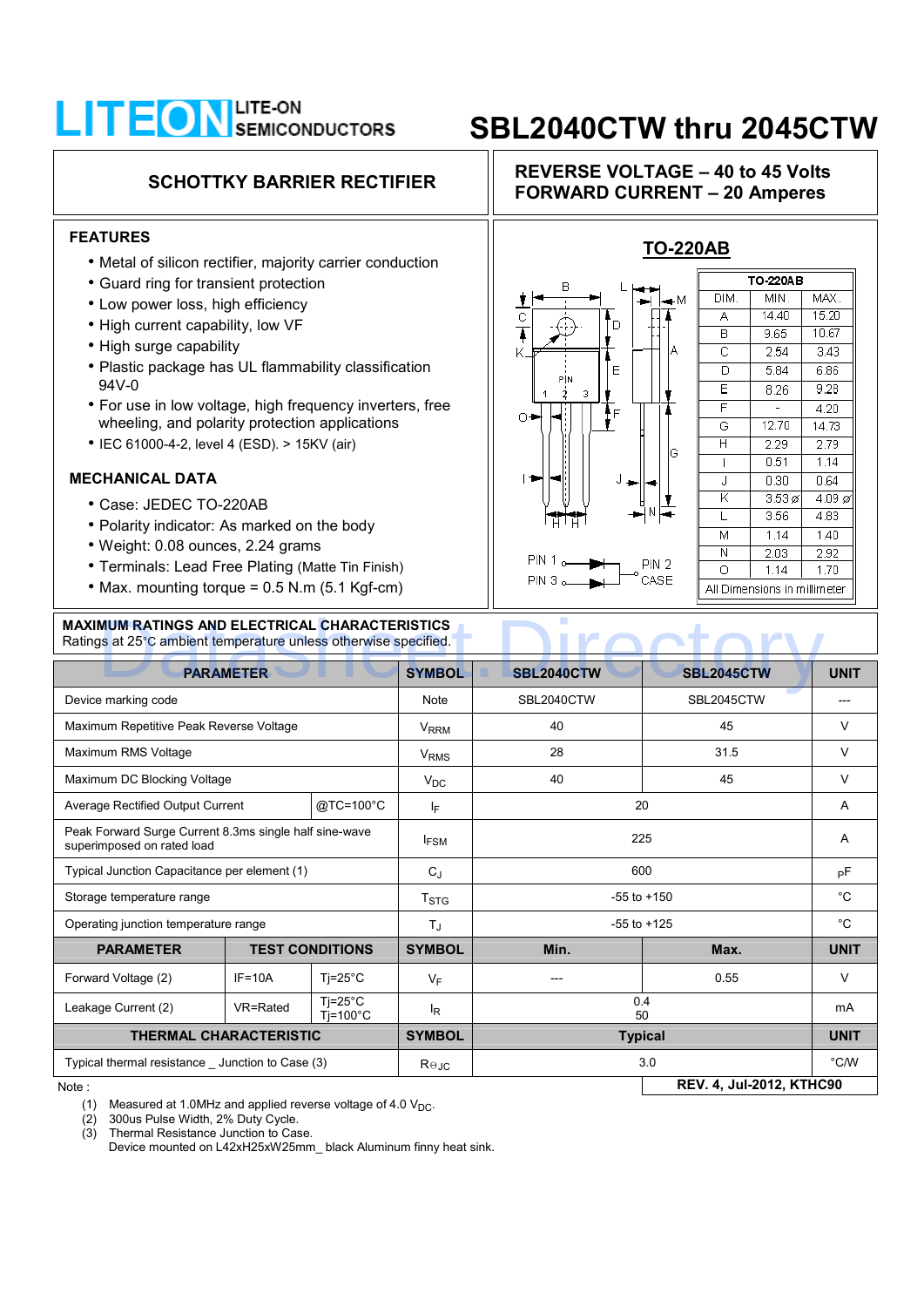# **LITEON** SEMICONDUCTORS SBL2040CTW thru 2045CTW

### **FEATURES**

- Metal of silicon rectifier, majority carrier conduction
- Guard ring for transient protection
- Low power loss, high efficiency
- High current capability, low VF
- High surge capability
- Plastic package has UL flammability classification 94V-0
- For use in low voltage, high frequency inverters, free wheeling, and polarity protection applications
- IEC 61000-4-2, level 4 (ESD). > 15KV (air)

### **MECHANICAL DATA**

- Case: JEDEC TO-220AB
- Polarity indicator: As marked on the body
- Weight: 0.08 ounces, 2.24 grams
- Terminals: Lead Free Plating (Matte Tin Finish)
- Max. mounting torque = 0.5 N.m (5.1 Kgf-cm)

### **MAXIMUM RATINGS AND ELECTRICAL CHARACTERISTICS**  Ratings at 25°C ambient temperature unless otherwise specified.

### **SCHOTTKY BARRIER RECTIFIER REVERSE VOLTAGE – 40 to 45 Volts FORWARD CURRENT – 20 Amperes**



|                    | <b>TO 220AB</b> |                       |  |
|--------------------|-----------------|-----------------------|--|
| DIM.               | MIN.            | MAX.                  |  |
| А                  | 14.40           | 15.20                 |  |
| в                  | 9.65            | 10.67<br>3.43<br>6.86 |  |
| $\overline{\rm c}$ | 2.54            |                       |  |
| ō                  | 5.84            |                       |  |
| Ē                  | 8.26            | 9.28                  |  |
| F                  |                 | 4.20                  |  |
| Ġ                  | 12.70           | 14.73<br>2.79<br>1.14 |  |
| H                  | 2.29            |                       |  |
|                    | 0.51            |                       |  |
| J                  | 0.30            | 0.64                  |  |
| K                  | $3.53\%$        | $4.09\,\varnothing$   |  |
| L                  | 3.56            | 4.83                  |  |
| Μ                  | 1.14            | 1.40                  |  |
| N                  | 2.03            | 2.92                  |  |
| Ō                  | 1.14            | 1.70                  |  |

| <b>MAXIMUM RATINGS AND ELECTRICAL CHARACTERISTICS</b><br>Ratings at 25°C ambient temperature unless otherwise specified. |                        |                                       |                        |                   |                   |             |  |  |  |
|--------------------------------------------------------------------------------------------------------------------------|------------------------|---------------------------------------|------------------------|-------------------|-------------------|-------------|--|--|--|
| <b>PARAMETER</b>                                                                                                         |                        |                                       | <b>SYMBOL</b>          | <b>SBL2040CTW</b> | <b>SBL2045CTW</b> | <b>UNIT</b> |  |  |  |
| Device marking code                                                                                                      |                        | <b>Note</b>                           | SBL2040CTW             | SBL2045CTW        |                   |             |  |  |  |
| Maximum Repetitive Peak Reverse Voltage                                                                                  |                        | <b>VRRM</b>                           | 40                     | 45                | V                 |             |  |  |  |
| Maximum RMS Voltage                                                                                                      |                        |                                       | <b>V<sub>RMS</sub></b> | 28                | 31.5              | V           |  |  |  |
| Maximum DC Blocking Voltage                                                                                              |                        | $V_{DC}$                              | 40                     | 45                | V                 |             |  |  |  |
| @TC=100°C<br>Average Rectified Output Current                                                                            |                        | IF                                    | 20                     |                   | A                 |             |  |  |  |
| Peak Forward Surge Current 8.3ms single half sine-wave<br>superimposed on rated load                                     |                        | $I_{FSM}$                             | 225                    |                   | A                 |             |  |  |  |
| Typical Junction Capacitance per element (1)                                                                             |                        |                                       | $C_{.1}$               | 600               |                   | рF          |  |  |  |
| Storage temperature range                                                                                                |                        |                                       | T <sub>STG</sub>       | $-55$ to $+150$   |                   | $^{\circ}C$ |  |  |  |
| Operating junction temperature range                                                                                     |                        | $T_{\rm J}$                           | $-55$ to $+125$        |                   | $^{\circ}C$       |             |  |  |  |
| <b>PARAMETER</b>                                                                                                         | <b>TEST CONDITIONS</b> |                                       | <b>SYMBOL</b>          | Min.              | Max.              | <b>UNIT</b> |  |  |  |
| Forward Voltage (2)                                                                                                      | $IF = 10A$             | $Ti=25^{\circ}C$                      | $V_F$                  |                   | 0.55              | $\vee$      |  |  |  |
| Leakage Current (2)                                                                                                      | VR=Rated               | $Ti=25^{\circ}C$<br>$Ti=100^{\circ}C$ | $I_R$                  | 0.4<br>50         |                   | mA          |  |  |  |
| <b>THERMAL CHARACTERISTIC</b>                                                                                            |                        | <b>SYMBOL</b>                         | <b>Typical</b>         |                   | <b>UNIT</b>       |             |  |  |  |
| Typical thermal resistance Junction to Case (3)                                                                          |                        |                                       | $R \Theta$ JC          |                   | 3.0               | °C/W        |  |  |  |
| <b>REV. 4, Jul-2012, KTHC90</b><br>Note:                                                                                 |                        |                                       |                        |                   |                   |             |  |  |  |

(1) Measured at 1.0MHz and applied reverse voltage of 4.0  $V_{\text{DC}}$ .<br>(2) 300us Pulse Width, 2% Duty Cycle.

(2) 300us Pulse Width, 2% Duty Cycle.<br>(3) Thermal Resistance Junction to Cas

Thermal Resistance Junction to Case.

Device mounted on L42xH25xW25mm\_ black Aluminum finny heat sink.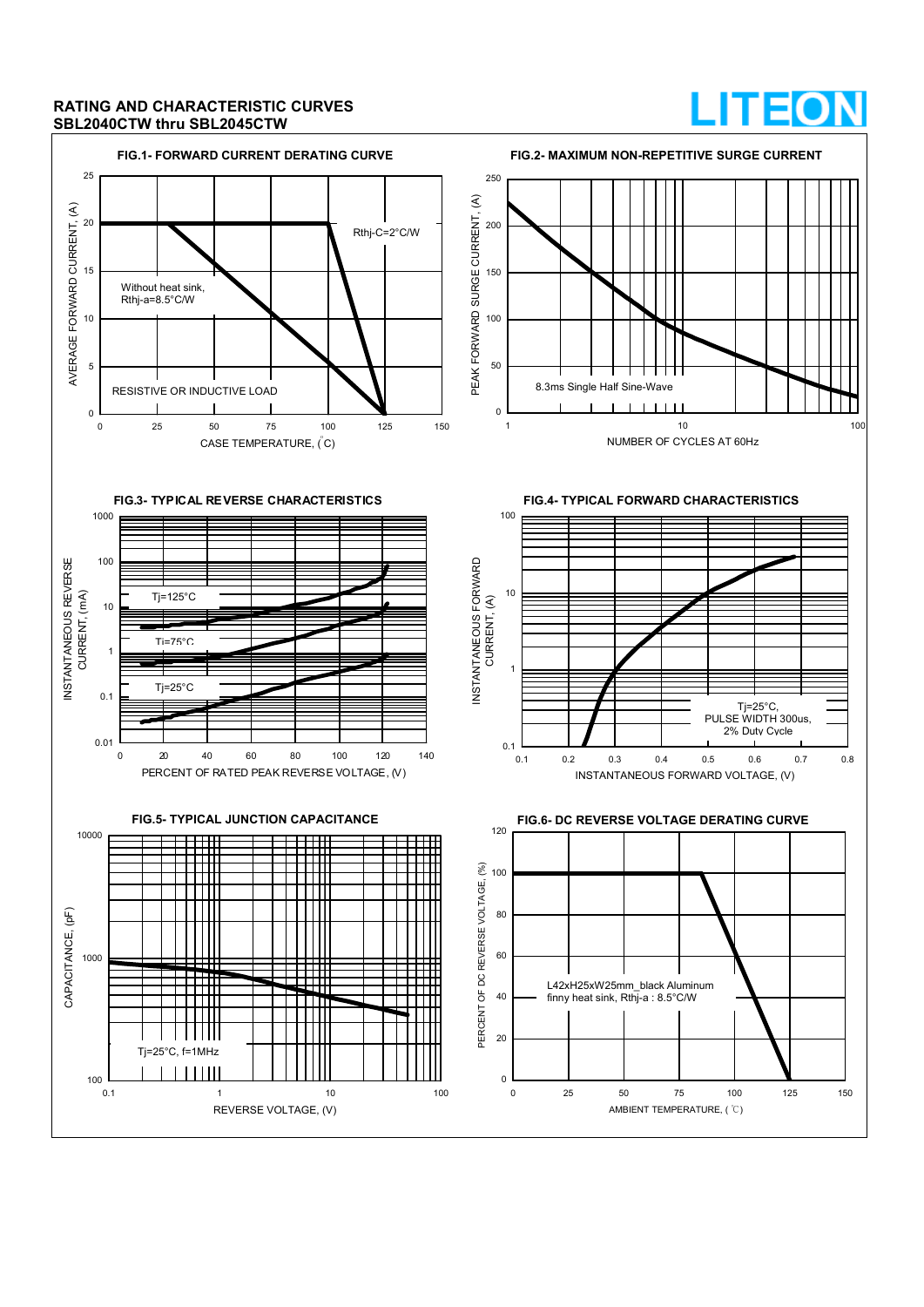### **RATING AND CHARACTERISTIC CURVES SBL2040CTW thru SBL2045CTW**